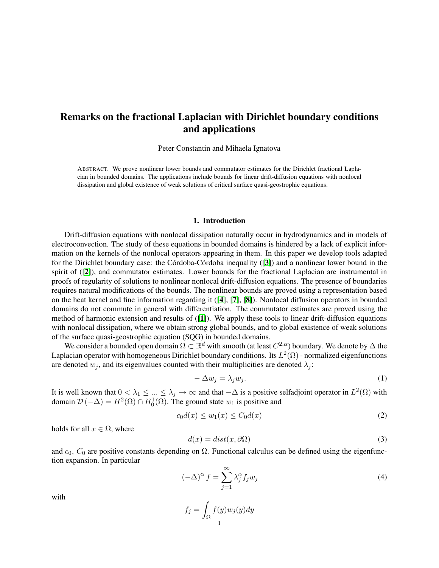# Remarks on the fractional Laplacian with Dirichlet boundary conditions and applications

Peter Constantin and Mihaela Ignatova

ABSTRACT. We prove nonlinear lower bounds and commutator estimates for the Dirichlet fractional Laplacian in bounded domains. The applications include bounds for linear drift-diffusion equations with nonlocal dissipation and global existence of weak solutions of critical surface quasi-geostrophic equations.

# 1. Introduction

Drift-diffusion equations with nonlocal dissipation naturally occur in hydrodynamics and in models of electroconvection. The study of these equations in bounded domains is hindered by a lack of explicit information on the kernels of the nonlocal operators appearing in them. In this paper we develop tools adapted for the Dirichlet boundary case: the Córdoba-Córdoba inequality  $(3)$  $(3)$  $(3)$  and a nonlinear lower bound in the spirit of ([[2](#page-12-1)]), and commutator estimates. Lower bounds for the fractional Laplacian are instrumental in proofs of regularity of solutions to nonlinear nonlocal drift-diffusion equations. The presence of boundaries requires natural modifications of the bounds. The nonlinear bounds are proved using a representation based on the heat kernel and fine information regarding it ([[4](#page-12-2)], [[7](#page-12-3)], [[8](#page-12-4)]). Nonlocal diffusion operators in bounded domains do not commute in general with differentiation. The commutator estimates are proved using the method of harmonic extension and results of ([[1](#page-12-5)]). We apply these tools to linear drift-diffusion equations with nonlocal dissipation, where we obtain strong global bounds, and to global existence of weak solutions of the surface quasi-geostrophic equation (SQG) in bounded domains.

We consider a bounded open domain  $\Omega \subset \mathbb{R}^d$  with smooth (at least  $C^{2,\alpha}$ ) boundary. We denote by  $\Delta$  the Laplacian operator with homogeneous Dirichlet boundary conditions. Its  $L^2(\Omega)$  - normalized eigenfunctions are denoted  $w_j$ , and its eigenvalues counted with their multiplicities are denoted  $\lambda_j$ :

$$
-\Delta w_j = \lambda_j w_j. \tag{1}
$$

It is well known that  $0<\lambda_1\leq...\leq\lambda_j\to\infty$  and that  $-\Delta$  is a positive selfadjoint operator in  $L^2(\Omega)$  with domain  $\mathcal{D}(-\Delta) = H^2(\Omega) \cap H_0^1(\Omega)$ . The ground state  $w_1$  is positive and

<span id="page-0-0"></span>
$$
c_0 d(x) \le w_1(x) \le C_0 d(x) \tag{2}
$$

holds for all  $x \in \Omega$ , where

$$
d(x) = dist(x, \partial \Omega) \tag{3}
$$

and  $c_0$ ,  $C_0$  are positive constants depending on  $\Omega$ . Functional calculus can be defined using the eigenfunction expansion. In particular

$$
(-\Delta)^{\alpha} f = \sum_{j=1}^{\infty} \lambda_j^{\alpha} f_j w_j
$$
 (4)

with

$$
f_j = \int_{\Omega} f(y) w_j(y) dy
$$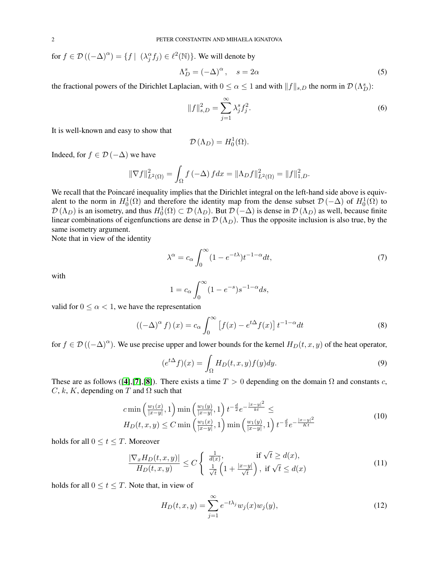for  $f \in \mathcal{D}((-\Delta)^{\alpha}) = \{f \mid (\lambda_j^{\alpha} f_j) \in \ell^2(\mathbb{N})\}$ . We will denote by

$$
\Lambda_D^s = (-\Delta)^\alpha, \quad s = 2\alpha \tag{5}
$$

the fractional powers of the Dirichlet Laplacian, with  $0 \le \alpha \le 1$  and with  $||f||_{s,D}$  the norm in  $\mathcal{D}(\Lambda_D^s)$ :

$$
||f||_{s,D}^{2} = \sum_{j=1}^{\infty} \lambda_{j}^{s} f_{j}^{2}.
$$
 (6)

It is well-known and easy to show that

$$
\mathcal{D}\left(\Lambda_{D}\right) = H_{0}^{1}(\Omega).
$$

Indeed, for  $f \in \mathcal{D}(-\Delta)$  we have

$$
\|\nabla f\|_{L^2(\Omega)}^2 = \int_{\Omega} f(-\Delta) f dx = \|\Lambda_D f\|_{L^2(\Omega)}^2 = \|f\|_{1,D}^2.
$$

We recall that the Poincaré inequality implies that the Dirichlet integral on the left-hand side above is equivalent to the norm in  $H_0^1(\Omega)$  and therefore the identity map from the dense subset  $\mathcal{D}(-\Delta)$  of  $H_0^1(\Omega)$  to  $\mathcal{D}(\Lambda_D)$  is an isometry, and thus  $H_0^1(\Omega) \subset \mathcal{D}(\Lambda_D)$ . But  $\mathcal{D}(-\Delta)$  is dense in  $\mathcal{D}(\Lambda_D)$  as well, because finite linear combinations of eigenfunctions are dense in  $\mathcal{D}(\Lambda_D)$ . Thus the opposite inclusion is also true, by the same isometry argument.

Note that in view of the identity

$$
\lambda^{\alpha} = c_{\alpha} \int_0^{\infty} (1 - e^{-t\lambda}) t^{-1 - \alpha} dt,
$$
\n(7)

with

$$
1 = c_{\alpha} \int_0^{\infty} (1 - e^{-s}) s^{-1 - \alpha} ds,
$$

valid for  $0 \leq \alpha < 1$ , we have the representation

<span id="page-1-1"></span>
$$
((-\Delta)^{\alpha} f)(x) = c_{\alpha} \int_0^{\infty} \left[ f(x) - e^{t\Delta} f(x) \right] t^{-1-\alpha} dt \tag{8}
$$

for  $f \in \mathcal{D}((-\Delta)^{\alpha})$ . We use precise upper and lower bounds for the kernel  $H_D(t, x, y)$  of the heat operator,

$$
(e^{t\Delta}f)(x) = \int_{\Omega} H_D(t, x, y) f(y) dy.
$$
\n(9)

These are as follows ([[4](#page-12-2)],[[7](#page-12-3)],[[8](#page-12-4)]). There exists a time  $T > 0$  depending on the domain  $\Omega$  and constants c,  $C, k, K$ , depending on T and  $\Omega$  such that

<span id="page-1-2"></span>
$$
c \min\left(\frac{w_1(x)}{|x-y|}, 1\right) \min\left(\frac{w_1(y)}{|x-y|}, 1\right) t^{-\frac{d}{2}} e^{-\frac{|x-y|^2}{kt}} \le
$$
  
\n
$$
H_D(t, x, y) \le C \min\left(\frac{w_1(x)}{|x-y|}, 1\right) \min\left(\frac{w_1(y)}{|x-y|}, 1\right) t^{-\frac{d}{2}} e^{-\frac{|x-y|^2}{Kt}}
$$
\n(10)

holds for all  $0 \le t \le T$ . Moreover

<span id="page-1-0"></span>
$$
\frac{|\nabla_x H_D(t, x, y)|}{H_D(t, x, y)} \le C \begin{cases} \frac{1}{d(x)}, & \text{if } \sqrt{t} \ge d(x),\\ \frac{1}{\sqrt{t}} \left(1 + \frac{|x - y|}{\sqrt{t}}\right), & \text{if } \sqrt{t} \le d(x) \end{cases}
$$
\n(11)

holds for all  $0 \le t \le T$ . Note that, in view of

$$
H_D(t, x, y) = \sum_{j=1}^{\infty} e^{-t\lambda_j} w_j(x) w_j(y),
$$
\n(12)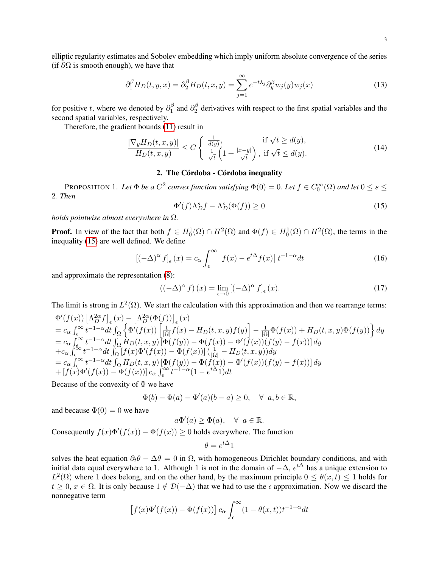elliptic regularity estimates and Sobolev embedding which imply uniform absolute convergence of the series (if  $\partial\Omega$  is smooth enough), we have that

$$
\partial_1^{\beta} H_D(t, y, x) = \partial_2^{\beta} H_D(t, x, y) = \sum_{j=1}^{\infty} e^{-t\lambda_j} \partial_y^{\beta} w_j(y) w_j(x)
$$
\n(13)

for positive t, where we denoted by  $\partial_1^{\beta}$  $\frac{\beta}{1}$  and  $\partial_2^{\beta}$  $\frac{1}{2}$  derivatives with respect to the first spatial variables and the second spatial variables, respectively.

Therefore, the gradient bounds [\(11\)](#page-1-0) result in

<span id="page-2-1"></span>
$$
\frac{|\nabla_y H_D(t, x, y)|}{H_D(t, x, y)} \le C \begin{cases} \frac{1}{d(y)}, & \text{if } \sqrt{t} \ge d(y),\\ \frac{1}{\sqrt{t}} \left(1 + \frac{|x - y|}{\sqrt{t}}\right), & \text{if } \sqrt{t} \le d(y). \end{cases}
$$
\n(14)

# 2. The Córdoba - Córdoba inequality

<span id="page-2-2"></span>PROPOSITION 1. Let  $\Phi$  *be a*  $C^2$  convex function satisfying  $\Phi(0) = 0$ . Let  $f \in C_0^{\infty}(\Omega)$  and let  $0 \le s \le$ 2*. Then*

<span id="page-2-0"></span>
$$
\Phi'(f)\Lambda_D^s f - \Lambda_D^s(\Phi(f)) \ge 0\tag{15}
$$

*holds pointwise almost everywhere in* Ω*.*

**Proof.** In view of the fact that both  $f \in H_0^1(\Omega) \cap H^2(\Omega)$  and  $\Phi(f) \in H_0^1(\Omega) \cap H^2(\Omega)$ , the terms in the inequality [\(15\)](#page-2-0) are well defined. We define

$$
\left[(-\Delta)^{\alpha} f\right]_{\epsilon}(x) = c_{\alpha} \int_{\epsilon}^{\infty} \left[f(x) - e^{t\Delta} f(x)\right] t^{-1-\alpha} dt \tag{16}
$$

and approximate the representation [\(8\)](#page-1-1):

$$
((-\Delta)^{\alpha} f) (x) = \lim_{\epsilon \to 0} [(-\Delta)^{\alpha} f]_{\epsilon} (x).
$$
 (17)

The limit is strong in  $L^2(\Omega)$ . We start the calculation with this approximation and then we rearrange terms:

$$
\begin{split}\n&\Phi'(f(x))\left[\Lambda_D^{2\alpha}f\right]_{\epsilon}(x) - \left[\Lambda_D^{2\alpha}(\Phi(f))\right]_{\epsilon}(x) \\
&= c_{\alpha} \int_{\epsilon}^{\infty} t^{-1-\alpha} dt \int_{\Omega} \left\{\Phi'(f(x))\left[\frac{1}{|\Omega|}f(x) - H_D(t,x,y)f(y)\right] - \frac{1}{|\Omega|}\Phi(f(x)) + H_D(t,x,y)\Phi(f(y))\right\} dy \\
&= c_{\alpha} \int_{\epsilon}^{\infty} t^{-1-\alpha} dt \int_{\Omega} H_D(t,x,y)\left[\Phi(f(y)) - \Phi(f(x)) - \Phi'(f(x))\right](f(y) - f(x)) dy \\
&+ c_{\alpha} \int_{\epsilon}^{\infty} t^{-1-\alpha} dt \int_{\Omega} \left[f(x)\Phi'(f(x)) - \Phi(f(x))\right] \left(\frac{1}{|\Omega|} - H_D(t,x,y)\right) dy \\
&= c_{\alpha} \int_{\epsilon}^{\infty} t^{-1-\alpha} dt \int_{\Omega} H_D(t,x,y)\left[\Phi(f(y)) - \Phi(f(x)) - \Phi'(f(x))\right](f(y) - f(x)) dy \\
&+ \left[f(x)\Phi'(f(x)) - \Phi(f(x))\right] c_{\alpha} \int_{\epsilon}^{\infty} t^{-1-\alpha} (1 - e^{t\Delta}1) dt\n\end{split}
$$

Because of the convexity of  $\Phi$  we have

$$
\Phi(b) - \Phi(a) - \Phi'(a)(b - a) \ge 0, \quad \forall \ a, b \in \mathbb{R},
$$

and because  $\Phi(0) = 0$  we have

$$
a\Phi'(a) \ge \Phi(a), \quad \forall \ a \in \mathbb{R}.
$$

Consequently  $f(x)\Phi'(f(x)) - \Phi(f(x)) \ge 0$  holds everywhere. The function

$$
\theta = e^{t\Delta}1
$$

solves the heat equation  $\partial_t \theta - \Delta \theta = 0$  in  $\Omega$ , with homogeneous Dirichlet boundary conditions, and with initial data equal everywhere to 1. Although 1 is not in the domain of  $-\Delta$ ,  $e^{t\Delta}$  has a unique extension to  $L^2(\Omega)$  where 1 does belong, and on the other hand, by the maximum principle  $0 \le \theta(x, t) \le 1$  holds for  $t > 0$ ,  $x \in \Omega$ . It is only because  $1 \notin \mathcal{D}(-\Delta)$  that we had to use the  $\epsilon$  approximation. Now we discard the nonnegative term

$$
\[f(x)\Phi'(f(x)) - \Phi(f(x))\] c_{\alpha} \int_{\epsilon}^{\infty} (1 - \theta(x, t)) t^{-1-\alpha} dt
$$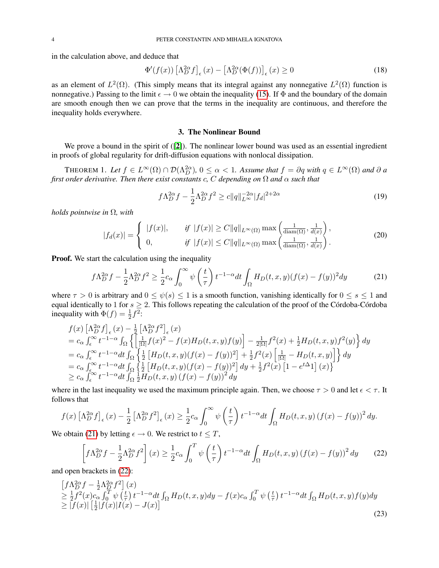in the calculation above, and deduce that

$$
\Phi'(f(x)) \left[\Lambda_D^{2\alpha} f\right]_{\epsilon}(x) - \left[\Lambda_D^{2\alpha}(\Phi(f))\right]_{\epsilon}(x) \ge 0 \tag{18}
$$

as an element of  $L^2(\Omega)$ . (This simply means that its integral against any nonnegative  $L^2(\Omega)$  function is nonnegative.) Passing to the limit  $\epsilon \to 0$  we obtain the inequality [\(15\)](#page-2-0). If  $\Phi$  and the boundary of the domain are smooth enough then we can prove that the terms in the inequality are continuous, and therefore the inequality holds everywhere.

### 3. The Nonlinear Bound

We prove a bound in the spirit of ([[2](#page-12-1)]). The nonlinear lower bound was used as an essential ingredient in proofs of global regularity for drift-diffusion equations with nonlocal dissipation.

THEOREM 1. Let  $f \in L^{\infty}(\Omega) \cap \mathcal{D}(\Lambda_D^{2\alpha})$ ,  $0 \leq \alpha < 1$ . Assume that  $f = \partial q$  with  $q \in L^{\infty}(\Omega)$  and  $\partial$  a *first order derivative. Then there exist constants* c*,* C *depending on* Ω *and* α *such that*

$$
f\Lambda_D^{2\alpha} f - \frac{1}{2}\Lambda_D^{2\alpha} f^2 \ge c \|q\|_{L^\infty}^{-2\alpha} |f_d|^{2+2\alpha} \tag{19}
$$

*holds pointwise in* Ω*, with*

$$
|f_d(x)| = \begin{cases} |f(x)|, & \text{if } |f(x)| \ge C ||q||_{L^{\infty}(\Omega)} \max\left(\frac{1}{\text{diam}(\Omega)}, \frac{1}{d(x)}\right), \\ 0, & \text{if } |f(x)| \le C ||q||_{L^{\infty}(\Omega)} \max\left(\frac{1}{\text{diam}(\Omega)}, \frac{1}{d(x)}\right). \end{cases}
$$
(20)

**Proof.** We start the calculation using the inequality

<span id="page-3-0"></span>
$$
f\Lambda_D^{2\alpha}f - \frac{1}{2}\Lambda_D^{2\alpha}f^2 \ge \frac{1}{2}c_\alpha \int_0^\infty \psi\left(\frac{t}{\tau}\right)t^{-1-\alpha}dt \int_\Omega H_D(t,x,y)(f(x) - f(y))^2 dy\tag{21}
$$

where  $\tau > 0$  is arbitrary and  $0 \le \psi(s) \le 1$  is a smooth function, vanishing identically for  $0 \le s \le 1$  and equal identically to 1 for  $s > 2$ . This follows repeating the calculation of the proof of the Córdoba-Córdoba inequality with  $\Phi(f) = \frac{1}{2}f^2$ :

$$
f(x) \left[\Lambda_D^{2\alpha} f\right]_{\epsilon}(x) - \frac{1}{2} \left[\Lambda_D^{2\alpha} f^2\right]_{\epsilon}(x)
$$
  
\n
$$
= c_{\alpha} \int_{\epsilon}^{\infty} t^{-1-\alpha} \int_{\Omega} \left\{ \left[ \frac{1}{|\Omega|} f(x)^2 - f(x) H_D(t, x, y) f(y) \right] - \frac{1}{2|\Omega|} f^2(x) + \frac{1}{2} H_D(t, x, y) f^2(y) \right\} dy
$$
  
\n
$$
= c_{\alpha} \int_{\epsilon}^{\infty} t^{-1-\alpha} dt \int_{\Omega} \left\{ \frac{1}{2} \left[ H_D(t, x, y) (f(x) - f(y))^2 \right] + \frac{1}{2} f^2(x) \left[ \frac{1}{|\Omega|} - H_D(t, x, y) \right] \right\} dy
$$
  
\n
$$
= c_{\alpha} \int_{\epsilon}^{\infty} t^{-1-\alpha} dt \int_{\Omega} \left\{ \frac{1}{2} \left[ H_D(t, x, y) (f(x) - f(y))^2 \right] dy + \frac{1}{2} f^2(x) \left[ 1 - e^{t\Delta} 1 \right] (x) \right\}
$$
  
\n
$$
\geq c_{\alpha} \int_{\epsilon}^{\infty} t^{-1-\alpha} dt \int_{\Omega} \frac{1}{2} H_D(t, x, y) (f(x) - f(y))^2 dy
$$

where in the last inequality we used the maximum principle again. Then, we choose  $\tau > 0$  and let  $\epsilon < \tau$ . It follows that

$$
f(x)\left[\Lambda_D^{2\alpha}f\right]_{\epsilon}(x) - \frac{1}{2}\left[\Lambda_D^{2\alpha}f^2\right]_{\epsilon}(x) \ge \frac{1}{2}c_{\alpha} \int_0^{\infty} \psi\left(\frac{t}{\tau}\right) t^{-1-\alpha} dt \int_{\Omega} H_D(t, x, y) \left(f(x) - f(y)\right)^2 dy.
$$

We obtain [\(21\)](#page-3-0) by letting  $\epsilon \to 0$ . We restrict to  $t \leq T$ ,

<span id="page-3-1"></span>
$$
\left[f\Lambda_D^{2\alpha}f - \frac{1}{2}\Lambda_D^{2\alpha}f^2\right](x) \ge \frac{1}{2}c_\alpha \int_0^T \psi\left(\frac{t}{\tau}\right)t^{-1-\alpha}dt \int_{\Omega} H_D(t,x,y) \left(f(x) - f(y)\right)^2 dy\tag{22}
$$

and open brackets in [\(22\)](#page-3-1):

<span id="page-3-2"></span>
$$
\begin{aligned}\n\left[f\Lambda_D^{2\alpha}f - \frac{1}{2}\Lambda_D^{2\alpha}f^2\right](x) \\
&\geq \frac{1}{2}f^2(x)c_{\alpha}\int_0^T \psi\left(\frac{t}{\tau}\right)t^{-1-\alpha}dt \int_{\Omega} H_D(t,x,y)dy - f(x)c_{\alpha}\int_0^T \psi\left(\frac{t}{\tau}\right)t^{-1-\alpha}dt \int_{\Omega} H_D(t,x,y)f(y)dy \\
&\geq \left|f(x)\right| \left[\frac{1}{2}|f(x)|I(x) - J(x)\right]\n\end{aligned}
$$
\n(23)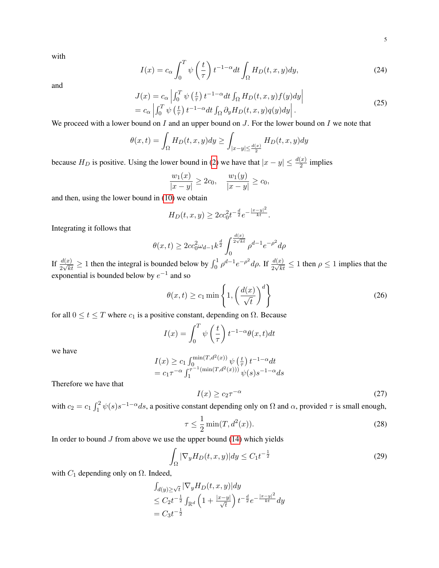with

$$
I(x) = c_{\alpha} \int_0^T \psi\left(\frac{t}{\tau}\right) t^{-1-\alpha} dt \int_{\Omega} H_D(t, x, y) dy,
$$
 (24)

and

$$
J(x) = c_{\alpha} \left| \int_0^T \psi\left(\frac{t}{\tau}\right) t^{-1-\alpha} dt \int_{\Omega} H_D(t, x, y) f(y) dy \right|
$$
  
=  $c_{\alpha} \left| \int_0^T \psi\left(\frac{t}{\tau}\right) t^{-1-\alpha} dt \int_{\Omega} \partial_y H_D(t, x, y) q(y) dy \right|$ . (25)

We proceed with a lower bound on  $I$  and an upper bound on  $J$ . For the lower bound on  $I$  we note that

$$
\theta(x,t) = \int_{\Omega} H_D(t,x,y) dy \ge \int_{|x-y| \le \frac{d(x)}{2}} H_D(t,x,y) dy
$$

because  $H_D$  is positive. Using the lower bound in [\(2\)](#page-0-0) we have that  $|x - y| \leq \frac{d(x)}{2}$  implies

$$
\frac{w_1(x)}{|x-y|} \ge 2c_0, \quad \frac{w_1(y)}{|x-y|} \ge c_0,
$$

and then, using the lower bound in [\(10\)](#page-1-2) we obtain

$$
H_D(t, x, y) \ge 2cc_0^2 t^{-\frac{d}{2}} e^{-\frac{|x-y|^2}{kt}}.
$$

Integrating it follows that

$$
\theta(x,t) \ge 2cc_0^2 \omega_{d-1} k^{\frac{d}{2}} \int_0^{\frac{d(x)}{2\sqrt{kt}}} \rho^{d-1} e^{-\rho^2} d\rho
$$

If  $\frac{d(x)}{2\sqrt{kt}} \ge 1$  then the integral is bounded below by  $\int_0^1 \rho^{d-1} e^{-\rho^2} d\rho$ . If  $\frac{d(x)}{2\sqrt{kt}} \le 1$  then  $\rho \le 1$  implies that the exponential is bounded below by  $e^{-1}$  and so

$$
\theta(x,t) \ge c_1 \min\left\{1, \left(\frac{d(x)}{\sqrt{t}}\right)^d\right\} \tag{26}
$$

for all  $0 \le t \le T$  where  $c_1$  is a positive constant, depending on  $\Omega$ . Because

$$
I(x) = \int_0^T \psi\left(\frac{t}{\tau}\right) t^{-1-\alpha} \theta(x, t) dt
$$

we have

$$
I(x) \ge c_1 \int_0^{\min(T, d^2(x))} \psi\left(\frac{t}{\tau}\right) t^{-1-\alpha} dt
$$
  
=  $c_1 \tau^{-\alpha} \int_1^{\tau^{-1}(\min(T, d^2(x)))} \psi(s) s^{-1-\alpha} ds$ 

Therefore we have that

<span id="page-4-1"></span>
$$
I(x) \ge c_2 \tau^{-\alpha} \tag{27}
$$

with  $c_2 = c_1 \int_1^2 \psi(s) s^{-1-\alpha} ds$ , a positive constant depending only on  $\Omega$  and  $\alpha$ , provided  $\tau$  is small enough,

<span id="page-4-2"></span>
$$
\tau \le \frac{1}{2} \min(T, d^2(x)).\tag{28}
$$

In order to bound  $J$  from above we use the upper bound [\(14\)](#page-2-1) which yields

<span id="page-4-0"></span>
$$
\int_{\Omega} |\nabla_y H_D(t, x, y)| dy \le C_1 t^{-\frac{1}{2}} \tag{29}
$$

with  $C_1$  depending only on  $\Omega$ . Indeed,

$$
\int_{d(y)\geq \sqrt{t}} |\nabla_y H_D(t, x, y)| dy
$$
  
\n
$$
\leq C_2 t^{-\frac{1}{2}} \int_{\mathbb{R}^d} \left(1 + \frac{|x - y|}{\sqrt{t}}\right) t^{-\frac{d}{2}} e^{-\frac{|x - y|^2}{kt}} dy
$$
  
\n
$$
= C_3 t^{-\frac{1}{2}}
$$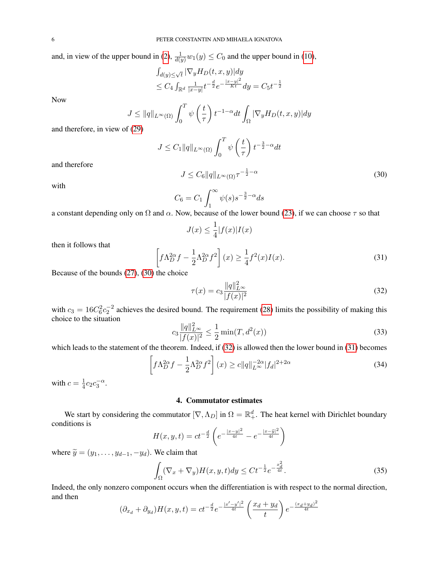and, in view of the upper bound in [\(2\)](#page-0-0),  $\frac{1}{d(y)}w_1(y) \leq C_0$  and the upper bound in [\(10\)](#page-1-2),

$$
\int_{d(y)\leq \sqrt{t}} |\nabla_y H_D(t, x, y)| dy
$$
  
\n
$$
\leq C_4 \int_{\mathbb{R}^d} \frac{1}{|x-y|} t^{-\frac{d}{2}} e^{-\frac{|x-y|^2}{Kt}} dy = C_5 t^{-\frac{1}{2}}
$$

Now

$$
J \le ||q||_{L^{\infty}(\Omega)} \int_0^T \psi\left(\frac{t}{\tau}\right) t^{-1-\alpha} dt \int_{\Omega} |\nabla_y H_D(t, x, y)| dy
$$
  
if (20)

and therefore, in view of [\(29\)](#page-4-0)

$$
J \leq C_1 \|q\|_{L^{\infty}(\Omega)} \int_0^T \psi\left(\frac{t}{\tau}\right) t^{-\frac{3}{2}-\alpha} dt
$$

<span id="page-5-0"></span> $J \leq C_6 ||q||_{L^{\infty}(\Omega)} \tau^{-\frac{1}{2}-\alpha}$ 

and therefore

with

$$
C_6 = C_1 \int_1^\infty \psi(s) s^{-\frac{3}{2} - \alpha} ds
$$

a constant depending only on  $\Omega$  and  $\alpha$ . Now, because of the lower bound [\(23\)](#page-3-2), if we can choose  $\tau$  so that

$$
J(x) \le \frac{1}{4} |f(x)| I(x)
$$

then it follows that

<span id="page-5-2"></span>
$$
\left[f\Lambda_D^{2\alpha}f - \frac{1}{2}\Lambda_D^{2\alpha}f^2\right](x) \ge \frac{1}{4}f^2(x)I(x). \tag{31}
$$

Because of the bounds [\(27\)](#page-4-1), [\(30\)](#page-5-0) the choice

<span id="page-5-1"></span>
$$
\tau(x) = c_3 \frac{\|q\|_{L^{\infty}}^2}{|f(x)|^2}
$$
\n(32)

(30)

with  $c_3 = 16C_6^2c_2^{-2}$  achieves the desired bound. The requirement [\(28\)](#page-4-2) limits the possibility of making this choice to the situation

$$
c_3 \frac{\|q\|_{L^{\infty}}^2}{|f(x)|^2} \le \frac{1}{2} \min(T, d^2(x))
$$
\n(33)

which leads to the statement of the theorem. Indeed, if [\(32\)](#page-5-1) is allowed then the lower bound in [\(31\)](#page-5-2) becomes

$$
\left[f\Lambda_D^{2\alpha}f - \frac{1}{2}\Lambda_D^{2\alpha}f^2\right](x) \ge c\|q\|_{L^\infty}^{-2\alpha}|f_d|^{2+2\alpha} \tag{34}
$$

with  $c=\frac{1}{4}$  $\frac{1}{4}c_2c_3^{-\alpha}.$ 

# 4. Commutator estimates

We start by considering the commutator  $[\nabla, \Lambda_D]$  in  $\Omega = \mathbb{R}^d_+$ . The heat kernel with Dirichlet boundary conditions is

$$
H(x, y, t) = ct^{-\frac{d}{2}} \left( e^{-\frac{|x-y|^2}{4t}} - e^{-\frac{|x-\tilde{y}|^2}{4t}} \right)
$$

where  $\widetilde{y} = (y_1, \ldots, y_{d-1}, -y_d)$ . We claim that

$$
\int_{\Omega} (\nabla_x + \nabla_y) H(x, y, t) dy \le C t^{-\frac{1}{2}} e^{-\frac{x_d^2}{4t}}.
$$
\n(35)

Indeed, the only nonzero component occurs when the differentiation is with respect to the normal direction, and then

$$
(\partial_{x_d} + \partial_{y_d})H(x, y, t) = ct^{-\frac{d}{2}}e^{-\frac{|x'-y'|^2}{4t}}\left(\frac{x_d + y_d}{t}\right)e^{-\frac{(x_d + y_d)^2}{4t}}
$$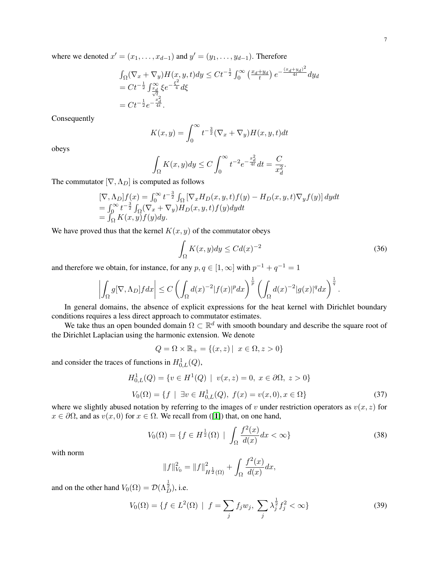where we denoted  $x' = (x_1, \ldots, x_{d-1})$  and  $y' = (y_1, \ldots, y_{d-1})$ . Therefore

$$
\int_{\Omega} (\nabla_x + \nabla_y) H(x, y, t) dy \leq Ct^{-\frac{1}{2}} \int_0^{\infty} \left( \frac{x_d + y_d}{t} \right) e^{-\frac{(x_d + y_d)^2}{4t}} dy_d
$$
  
= Ct^{-\frac{1}{2}} \int\_{\frac{x\_d}{\sqrt{t}} \zeta}^{\infty} \xi e^{-\frac{\xi^2}{4}} d\xi  
= Ct^{-\frac{1}{2}} e^{-\frac{x\_d}{4t}}.

Consequently

$$
K(x,y) = \int_0^\infty t^{-\frac{3}{2}} (\nabla_x + \nabla_y) H(x,y,t) dt
$$

obeys

$$
\int_{\Omega} K(x, y) dy \le C \int_0^{\infty} t^{-2} e^{-\frac{x_d^2}{4t}} dt = \frac{C}{x_d^2}.
$$

The commutator  $[\nabla, \Lambda_D]$  is computed as follows

$$
\begin{array}{l}\n[\nabla, \Lambda_D]f(x) = \int_0^\infty t^{-\frac{3}{2}} \int_{\Omega} \left[ \nabla_x H_D(x, y, t) f(y) - H_D(x, y, t) \nabla_y f(y) \right] dy dt \\
= \int_0^\infty t^{-\frac{3}{2}} \int_{\Omega} (\nabla_x + \nabla_y) H_D(x, y, t) f(y) dy dt \\
= \int_{\Omega} K(x, y) f(y) dy.\n\end{array}
$$

We have proved thus that the kernel  $K(x, y)$  of the commutator obeys

$$
\int_{\Omega} K(x, y) dy \le C d(x)^{-2}
$$
\n(36)

and therefore we obtain, for instance, for any  $p, q \in [1, \infty]$  with  $p^{-1} + q^{-1} = 1$ 

$$
\left|\int_{\Omega} g[\nabla, \Lambda_D] f dx\right| \leq C \left(\int_{\Omega} d(x)^{-2} |f(x)|^p dx\right)^{\frac{1}{p}} \left(\int_{\Omega} d(x)^{-2} |g(x)|^q dx\right)^{\frac{1}{q}}.
$$

In general domains, the absence of explicit expressions for the heat kernel with Dirichlet boundary conditions requires a less direct approach to commutator estimates.

We take thus an open bounded domain  $\Omega \subset \mathbb{R}^d$  with smooth boundary and describe the square root of the Dirichlet Laplacian using the harmonic extension. We denote

$$
Q = \Omega \times \mathbb{R}_+ = \{(x, z) \mid x \in \Omega, z > 0\}
$$

and consider the traces of functions in  $H^1_{0,L}(Q)$ ,

$$
H_{0,L}^{1}(Q) = \{ v \in H^{1}(Q) \mid v(x, z) = 0, x \in \partial\Omega, z > 0 \}
$$
  

$$
V_{0}(\Omega) = \{ f \mid \exists v \in H_{0,L}^{1}(Q), f(x) = v(x, 0), x \in \Omega \}
$$
 (37)

where we slightly abused notation by referring to the images of v under restriction operators as  $v(x, z)$  for  $x \in \partial\Omega$ , and as  $v(x, 0)$  for  $x \in \Omega$ . We recall from ([[1](#page-12-5)]) that, on one hand,

$$
V_0(\Omega) = \{ f \in H^{\frac{1}{2}}(\Omega) \mid \int_{\Omega} \frac{f^2(x)}{d(x)} dx < \infty \} \tag{38}
$$

with norm

$$
||f||_{V_0}^2 = ||f||_{H^{\frac{1}{2}}(\Omega)}^2 + \int_{\Omega} \frac{f^2(x)}{d(x)} dx,
$$

and on the other hand  $V_0(\Omega) = \mathcal{D}(\Lambda_D^{\frac{1}{2}})$ , i.e.

$$
V_0(\Omega) = \{ f \in L^2(\Omega) \mid f = \sum_j f_j w_j, \sum_j \lambda_j^{\frac{1}{2}} f_j^2 < \infty \}
$$
 (39)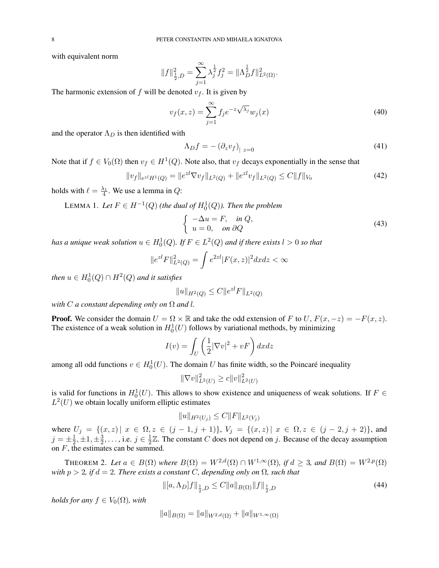with equivalent norm

$$
||f||_{\frac{1}{2},D}^{2} = \sum_{j=1}^{\infty} \lambda_{j}^{\frac{1}{2}} f_{j}^{2} = ||\Lambda_{D}^{\frac{1}{2}} f||_{L^{2}(\Omega)}^{2}.
$$

The harmonic extension of f will be denoted  $v_f$ . It is given by

$$
v_f(x,z) = \sum_{j=1}^{\infty} f_j e^{-z\sqrt{\lambda_j}} w_j(x)
$$
\n(40)

and the operator  $\Lambda_D$  is then identified with

$$
\Lambda_D f = -\left(\partial_z v_f\right)_{|z=0} \tag{41}
$$

Note that if  $f \in V_0(\Omega)$  then  $v_f \in H^1(Q)$ . Note also, that  $v_f$  decays exponentially in the sense that

$$
||v_f||_{e^{zI}H^1(Q)} = ||e^{zI}\nabla v_f||_{L^2(Q)} + ||e^{zI}v_f||_{L^2(Q)} \le C||f||_{V_0}
$$
\n(42)

<span id="page-7-0"></span>holds with  $\ell = \frac{\lambda_1}{4}$ . We use a lemma in Q:

LEMMA 1. Let  $F \in H^{-1}(Q)$  (the dual of  $H_0^1(Q)$ ). Then the problem

$$
\begin{cases}\n-\Delta u = F, & \text{in } Q, \\
u = 0, & \text{on } \partial Q\n\end{cases}
$$
\n(43)

has a unique weak solution  $u \in H^1_0(Q).$  If  $F \in L^2(Q)$  and if there exists  $l > 0$  so that

$$
||e^{z}F||_{L^{2}(Q)}^{2} = \int e^{2z} |F(x,z)|^{2} dx dz < \infty
$$

then  $u \in H_0^1(Q) \cap H^2(Q)$  and it satisfies

$$
||u||_{H^2(Q)} \le C ||e^{z l} F||_{L^2(Q)}
$$

*with*  $C$  *a constant depending only on*  $\Omega$  *and* l.

**Proof.** We consider the domain  $U = \Omega \times \mathbb{R}$  and take the odd extension of F to U,  $F(x, -z) = -F(x, z)$ . The existence of a weak solution in  $H_0^1(U)$  follows by variational methods, by minimizing

$$
I(v) = \int_{U} \left(\frac{1}{2} |\nabla v|^2 + vF\right) dxdz
$$

among all odd functions  $v \in H_0^1(U)$ . The domain U has finite width, so the Poincaré inequality

$$
\|\nabla v\|_{L^2(U)}^2 \ge c \|v\|_{L^2(U)}^2
$$

is valid for functions in  $H_0^1(U)$ . This allows to show existence and uniqueness of weak solutions. If  $F \in$  $L^2(U)$  we obtain locally uniform elliptic estimates

$$
||u||_{H^2(U_j)} \leq C||F||_{L^2(V_j)}
$$

where  $U_j = \{(x, z) | x \in \Omega, z \in (j - 1, j + 1)\}, V_j = \{(x, z) | x \in \Omega, z \in (j - 2, j + 2)\},\$ and  $j=\pm\frac{1}{2}$  $\frac{1}{2}, \pm 1, \pm \frac{3}{2}$  $\frac{3}{2}, \ldots$ , i.e.  $j \in \frac{1}{2}$  $\frac{1}{2}\mathbb{Z}$ . The constant C does not depend on j. Because of the decay assumption on F, the estimates can be summed.

THEOREM 2. Let  $a \in B(\Omega)$  where  $B(\Omega) = W^{2,d}(\Omega) \cap W^{1,\infty}(\Omega)$ , if  $d \geq 3$ , and  $B(\Omega) = W^{2,p}(\Omega)$ *with*  $p > 2$ *, if*  $d = 2$ *. There exists a constant* C*, depending only on*  $\Omega$ *, such that* 

$$
\| [a, \Lambda_D] f \|_{\frac{1}{2}, D} \le C \| a \|_{B(\Omega)} \| f \|_{\frac{1}{2}, D}
$$
\n(44)

*holds for any*  $f \in V_0(\Omega)$ *, with* 

$$
||a||_{B(\Omega)} = ||a||_{W^{2,d}(\Omega)} + ||a||_{W^{1,\infty}(\Omega)}
$$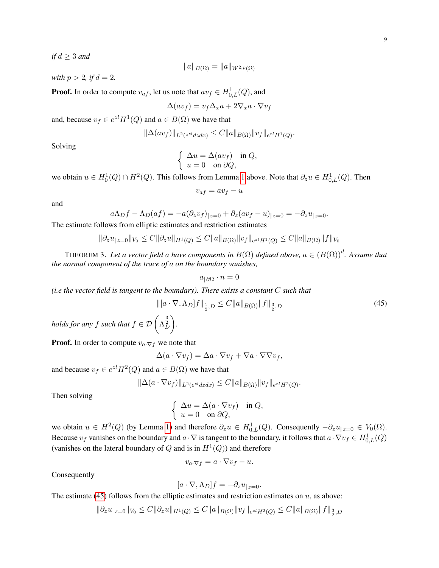*if*  $d \geq 3$  *and* 

$$
||a||_{B(\Omega)} = ||a||_{W^{2,p}(\Omega)}
$$

*with*  $p > 2$ *, if*  $d = 2$ *.* 

**Proof.** In order to compute  $v_{af}$ , let us note that  $av_f \in H^1_{0,L}(Q)$ , and

$$
\Delta(av_f) = v_f \Delta_x a + 2\nabla_x a \cdot \nabla v_f
$$

and, because  $v_f \in e^{z} H^1(Q)$  and  $a \in B(\Omega)$  we have that

$$
\|\Delta(av_f)\|_{L^2(e^{z}dzdx)} \leq C \|a\|_{B(\Omega)} \|v_f\|_{e^{z}H^1(Q)}.
$$

Solving

$$
\begin{cases} \Delta u = \Delta (a v_f) & \text{in } Q, \\ u = 0 & \text{on } \partial Q, \end{cases}
$$

we obtain  $u \in H_0^1(Q) \cap H^2(Q)$ . This follows from Lemma [1](#page-7-0) above. Note that  $\partial_z u \in H_{0,L}^1(Q)$ . Then

$$
v_{af} = av_f - u
$$

and

$$
a\Lambda_D f - \Lambda_D(af) = -a(\partial_z v_f)|_{z=0} + \partial_z (av_f - u)|_{z=0} = -\partial_z u_{|z=0}.
$$

The estimate follows from elliptic estimates and restriction estimates

$$
\|\partial_z u_{|z=0}\|_{V_0} \leq C \|\partial_z u\|_{H^1(Q)} \leq C \|a\|_{B(\Omega)} \|v_f\|_{e^{z l} H^1(Q)} \leq C \|a\|_{B(\Omega)} \|f\|_{V_0}
$$

<span id="page-8-1"></span>THEOREM 3. Let a vector field a have components in  $B(\Omega)$  defined above,  $a \in (B(\Omega))^d$ . Assume that *the normal component of the trace of* a *on the boundary vanishes,*

$$
a_{|\,\partial\Omega}\cdot n=0
$$

*(i.e the vector field is tangent to the boundary). There exists a constant* C *such that*

<span id="page-8-0"></span>
$$
\begin{aligned} \|[a \cdot \nabla, \Lambda_D]f\|_{\frac{1}{2}, D} &\leq C \|a\|_{B(\Omega)} \|f\|_{\frac{3}{2}, D} \\ \left(\Lambda_D^{\frac{3}{2}}\right). \end{aligned} \tag{45}
$$

holds for any  $f$  such that  $f \in \mathcal{D} \left( \Lambda_D^{\frac{3}{2}} \right)$ 

**Proof.** In order to compute  $v_a \nabla f$  we note that

$$
\Delta(a \cdot \nabla v_f) = \Delta a \cdot \nabla v_f + \nabla a \cdot \nabla \nabla v_f,
$$

and because  $v_f \in e^{z} H^2(Q)$  and  $a \in B(\Omega)$  we have that

$$
\|\Delta(a \cdot \nabla v_f)\|_{L^2(e^{zt}dzdx)} \leq C \|a\|_{B(\Omega)} \|v_f\|_{e^{zt}H^2(Q)}.
$$

Then solving

$$
\begin{cases} \Delta u = \Delta(a \cdot \nabla v_f) & \text{in } Q, \\ u = 0 & \text{on } \partial Q, \end{cases}
$$

we obtain  $u \in H^2(Q)$  (by Lemma [1\)](#page-7-0) and therefore  $\partial_z u \in H^1_{0,L}(Q)$ . Consequently  $-\partial_z u_{|z=0} \in V_0(\Omega)$ . Because  $v_f$  vanishes on the boundary and  $a \cdot \nabla$  is tangent to the boundary, it follows that  $a \cdot \nabla v_f \in H^1_{0,L}(Q)$ (vanishes on the lateral boundary of Q and is in  $H^1(Q)$ ) and therefore

$$
v_{a\cdot \nabla f} = a \cdot \nabla v_f - u.
$$

Consequently

$$
[a \cdot \nabla, \Lambda_D]f = -\partial_z u_{|z=0}.
$$

The estimate [\(45\)](#page-8-0) follows from the elliptic estimates and restriction estimates on  $u$ , as above:

$$
\|\partial_z u_{|z=0}\|_{V_0} \leq C \|\partial_z u\|_{H^1(Q)} \leq C \|a\|_{B(\Omega)} \|v_f\|_{e^{z_l}H^2(Q)} \leq C \|a\|_{B(\Omega)} \|f\|_{\frac{3}{2},D}
$$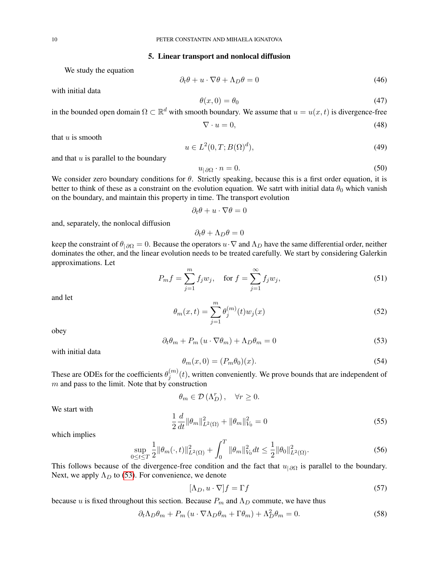#### 5. Linear transport and nonlocal diffusion

We study the equation

with initial data

<span id="page-9-2"></span>
$$
\partial_t \theta + u \cdot \nabla \theta + \Lambda_D \theta = 0 \tag{46}
$$

$$
\theta(x,0) = \theta_0 \tag{47}
$$

in the bounded open domain  $\Omega \subset \mathbb{R}^d$  with smooth boundary. We assume that  $u = u(x, t)$  is divergence-free

$$
\nabla \cdot u = 0,\tag{48}
$$

that  $u$  is smooth

$$
u \in L^2(0, T; B(\Omega)^d),\tag{49}
$$

and that  $u$  is parallel to the boundary

$$
u_{|\partial\Omega} \cdot n = 0. \tag{50}
$$

We consider zero boundary conditions for  $\theta$ . Strictly speaking, because this is a first order equation, it is better to think of these as a constraint on the evolution equation. We satrt with initial data  $\theta_0$  which vanish on the boundary, and maintain this property in time. The transport evolution

$$
\partial_t \theta + u \cdot \nabla \theta = 0
$$

and, separately, the nonlocal diffusion

$$
\partial_t \theta + \Lambda_D \theta = 0
$$

keep the constraint of  $\theta_{|\partial\Omega} = 0$ . Because the operators  $u \cdot \nabla$  and  $\Lambda_D$  have the same differential order, neither dominates the other, and the linear evolution needs to be treated carefully. We start by considering Galerkin approximations. Let

$$
P_m f = \sum_{j=1}^{m} f_j w_j, \quad \text{for } f = \sum_{j=1}^{\infty} f_j w_j,
$$
 (51)

and let

$$
\theta_m(x,t) = \sum_{j=1}^m \theta_j^{(m)}(t) w_j(x)
$$
\n(52)

obey

<span id="page-9-0"></span>
$$
\partial_t \theta_m + P_m \left( u \cdot \nabla \theta_m \right) + \Lambda_D \theta_m = 0 \tag{53}
$$

with initial data

$$
\theta_m(x,0) = (P_m \theta_0)(x). \tag{54}
$$

These are ODEs for the coefficients  $\theta_i^{(m)}$  $j^{(m)}(t)$ , written conveniently. We prove bounds that are independent of  $m$  and pass to the limit. Note that by construction

$$
\theta_m \in \mathcal{D}\left(\Lambda_D^r\right), \quad \forall r \ge 0.
$$

We start with

$$
\frac{1}{2}\frac{d}{dt}\|\theta_m\|_{L^2(\Omega)}^2 + \|\theta_m\|_{V_0}^2 = 0
$$
\n(55)

which implies

$$
\sup_{0 \le t \le T} \frac{1}{2} ||\theta_m(\cdot, t)||^2_{L^2(\Omega)} + \int_0^T ||\theta_m||^2_{V_0} dt \le \frac{1}{2} ||\theta_0||^2_{L^2(\Omega)}.
$$
 (56)

This follows because of the divergence-free condition and the fact that  $u_{\vert \partial\Omega}$  is parallel to the boundary. Next, we apply  $\Lambda_D$  to [\(53\)](#page-9-0). For convenience, we denote

$$
[\Lambda_D, u \cdot \nabla]f = \Gamma f \tag{57}
$$

because u is fixed throughout this section. Because  $P_m$  and  $\Lambda_D$  commute, we have thus

<span id="page-9-1"></span>
$$
\partial_t \Lambda_D \theta_m + P_m \left( u \cdot \nabla \Lambda_D \theta_m + \Gamma \theta_m \right) + \Lambda_D^2 \theta_m = 0. \tag{58}
$$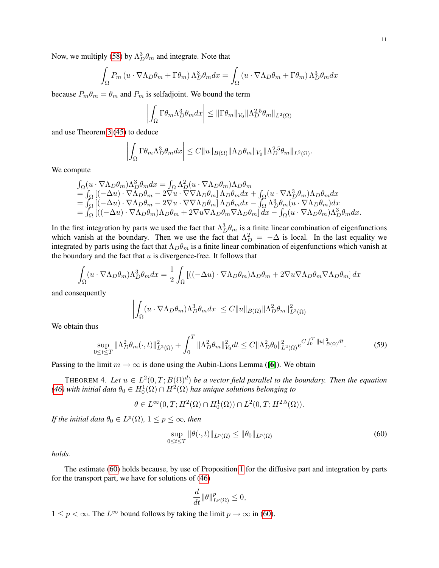Now, we multiply [\(58\)](#page-9-1) by  $\Lambda_D^3 \theta_m$  and integrate. Note that

$$
\int_{\Omega} P_m \left( u \cdot \nabla \Lambda_D \theta_m + \Gamma \theta_m \right) \Lambda_D^3 \theta_m dx = \int_{\Omega} \left( u \cdot \nabla \Lambda_D \theta_m + \Gamma \theta_m \right) \Lambda_D^3 \theta_m dx
$$

because  $P_m \theta_m = \theta_m$  and  $P_m$  is selfadjoint. We bound the term

$$
\left| \int_{\Omega} \Gamma \theta_m \Lambda_D^3 \theta_m dx \right| \leq ||\Gamma \theta_m||_{V_0} ||\Lambda_D^{2.5} \theta_m||_{L^2(\Omega)}
$$

and use Theorem [3](#page-8-1) [\(45\)](#page-8-0) to deduce

$$
\left| \int_{\Omega} \Gamma \theta_m \Lambda_D^3 \theta_m dx \right| \leq C \|u\|_{B(\Omega)} \|\Lambda_D \theta_m\|_{V_0} \|\Lambda_D^{2.5} \theta_m\|_{L^2(\Omega)}.
$$

We compute

$$
\begin{array}{l} \int_{\Omega}(u\cdot\nabla\Lambda_{D}\theta_{m})\Lambda_{D}^{3}\theta_{m}dx=\int_{\Omega}\Lambda_{D}^{2}(u\cdot\nabla\Lambda_{D}\theta_{m})\Lambda_{D}\theta_{m}\\ =\int_{\Omega}\left[(-\Delta u)\cdot\nabla\Lambda_{D}\theta_{m}-2\nabla u\cdot\nabla\nabla\Lambda_{D}\theta_{m}\right]\Lambda_{D}\theta_{m}dx+\int_{\Omega}(u\cdot\nabla\Lambda_{D}^{3}\theta_{m})\Lambda_{D}\theta_{m}dx\\ =\int_{\Omega}\left[(-\Delta u)\cdot\nabla\Lambda_{D}\theta_{m}-2\nabla u\cdot\nabla\nabla\Lambda_{D}\theta_{m}\right]\Lambda_{D}\theta_{m}dx-\int_{\Omega}\Lambda_{D}^{3}\theta_{m}(u\cdot\nabla\Lambda_{D}\theta_{m})dx\\ =\int_{\Omega}\left[\left((-\Delta u)\cdot\nabla\Lambda_{D}\theta_{m}\right)\Lambda_{D}\theta_{m}+2\nabla u\nabla\Lambda_{D}\theta_{m}\nabla\Lambda_{D}\theta_{m}\right]dx-\int_{\Omega}(u\cdot\nabla\Lambda_{D}\theta_{m})\Lambda_{D}^{3}\theta_{m}dx.\end{array}
$$

In the first integration by parts we used the fact that  $\Lambda_D^3 \theta_m$  is a finite linear combination of eigenfunctions which vanish at the boundary. Then we use the fact that  $\Lambda_D^2 = -\Delta$  is local. In the last equality we integrated by parts using the fact that  $\Lambda_D \theta_m$  is a finite linear combination of eigenfunctions which vanish at the boundary and the fact that  $u$  is divergence-free. It follows that

$$
\int_{\Omega} (u \cdot \nabla \Lambda_D \theta_m) \Lambda_D^3 \theta_m dx = \frac{1}{2} \int_{\Omega} \left[ ((-\Delta u) \cdot \nabla \Lambda_D \theta_m) \Lambda_D \theta_m + 2 \nabla u \nabla \Lambda_D \theta_m \nabla \Lambda_D \theta_m \right] dx
$$

and consequently

$$
\left| \int_{\Omega} (u \cdot \nabla \Lambda_D \theta_m) \Lambda_D^3 \theta_m dx \right| \leq C ||u||_{B(\Omega)} ||\Lambda_D^2 \theta_m||_{L^2(\Omega)}^2
$$

We obtain thus

$$
\sup_{0 \le t \le T} \|\Lambda_D^2 \theta_m(\cdot, t)\|_{L^2(\Omega)}^2 + \int_0^T \|\Lambda_D^2 \theta_m\|_{V_0}^2 dt \le C \|\Lambda_D^2 \theta_0\|_{L^2(\Omega)}^2 e^{C \int_0^T \|u\|_{B(\Omega)}^2 dt}.
$$
 (59)

Passing to the limit  $m \to \infty$  is done using the Aubin-Lions Lemma ([[6](#page-12-6)]). We obtain

THEOREM 4. Let  $u \in L^2(0,T;B(\Omega)^d)$  be a vector field parallel to the boundary. Then the equation [\(46\)](#page-9-2) with initial data  $\theta_0 \in H^1_0(\Omega) \cap H^2(\Omega)$  has unique solutions belonging to

$$
\theta \in L^{\infty}(0,T; H^{2}(\Omega) \cap H^{1}_{0}(\Omega)) \cap L^{2}(0,T; H^{2.5}(\Omega)).
$$

*If the initial data*  $\theta_0 \in L^p(\Omega)$ ,  $1 \leq p \leq \infty$ *, then* 

<span id="page-10-0"></span>
$$
\sup_{0 \le t \le T} \|\theta(\cdot, t)\|_{L^p(\Omega)} \le \|\theta_0\|_{L^p(\Omega)}
$$
\n(60)

*holds.*

The estimate [\(60\)](#page-10-0) holds because, by use of Proposition [1](#page-2-2) for the diffusive part and integration by parts for the transport part, we have for solutions of [\(46\)](#page-9-2)

$$
\frac{d}{dt} \|\theta\|_{L^p(\Omega)}^p \le 0,
$$

 $1 \le p < \infty$ . The  $L^{\infty}$  bound follows by taking the limit  $p \to \infty$  in [\(60\)](#page-10-0).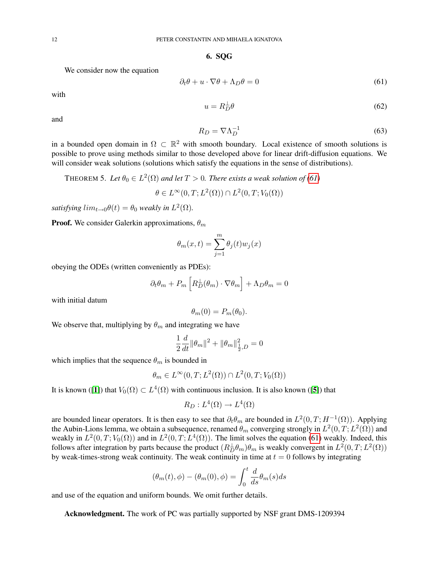6. SQG

We consider now the equation

<span id="page-11-0"></span>
$$
\partial_t \theta + u \cdot \nabla \theta + \Lambda_D \theta = 0 \tag{61}
$$

with

$$
u = R_D^{\perp} \theta \tag{62}
$$

and

$$
R_D = \nabla \Lambda_D^{-1} \tag{63}
$$

in a bounded open domain in  $\Omega \subset \mathbb{R}^2$  with smooth boundary. Local existence of smooth solutions is possible to prove using methods similar to those developed above for linear drift-diffusion equations. We will consider weak solutions (solutions which satisfy the equations in the sense of distributions).

THEOREM 5. Let  $\theta_0 \in L^2(\Omega)$  and let  $T > 0$ . There exists a weak solution of [\(61\)](#page-11-0)

$$
\theta \in L^{\infty}(0,T;L^{2}(\Omega)) \cap L^{2}(0,T;V_{0}(\Omega))
$$

satisfying  $\lim_{t\to 0} \theta(t) = \theta_0$  weakly in  $L^2(\Omega)$ .

**Proof.** We consider Galerkin approximations,  $\theta_m$ 

$$
\theta_m(x,t) = \sum_{j=1}^m \theta_j(t) w_j(x)
$$

obeying the ODEs (written conveniently as PDEs):

$$
\partial_t \theta_m + P_m \left[ R_D^{\perp}(\theta_m) \cdot \nabla \theta_m \right] + \Lambda_D \theta_m = 0
$$

with initial datum

$$
\theta_m(0) = P_m(\theta_0).
$$

We observe that, multiplying by  $\theta_m$  and integrating we have

$$
\frac{1}{2}\frac{d}{dt}\|\theta_m\|^2+\|\theta_m\|^2_{\frac{1}{2},D}=0
$$

which implies that the sequence  $\theta_m$  is bounded in

$$
\theta_m \in L^{\infty}(0,T;L^2(\Omega)) \cap L^2(0,T;V_0(\Omega))
$$

It is known ([[1](#page-12-5)]) that  $V_0(\Omega) \subset L^4(\Omega)$  with continuous inclusion. It is also known ([[5](#page-12-7)]) that

$$
R_D: L^4(\Omega) \to L^4(\Omega)
$$

are bounded linear operators. It is then easy to see that  $\partial_t \theta_m$  are bounded in  $L^2(0,T;H^{-1}(\Omega))$ . Applying the Aubin-Lions lemma, we obtain a subsequence, renamed  $\theta_m$  converging strongly in  $L^2(0,T;L^2(\Omega))$  and weakly in  $L^2(0,T;V_0(\Omega))$  and in  $L^2(0,T;L^4(\Omega))$ . The limit solves the equation [\(61\)](#page-11-0) weakly. Indeed, this follows after integration by parts because the product  $(R_D^{\perp} \theta_m) \theta_m$  is weakly convergent in  $L^2(0,T; L^2(\Omega))$ by weak-times-strong weak continuity. The weak continuity in time at  $t = 0$  follows by integrating

$$
(\theta_m(t), \phi) - (\theta_m(0), \phi) = \int_0^t \frac{d}{ds} \theta_m(s) ds
$$

and use of the equation and uniform bounds. We omit further details.

Acknowledgment. The work of PC was partially supported by NSF grant DMS-1209394